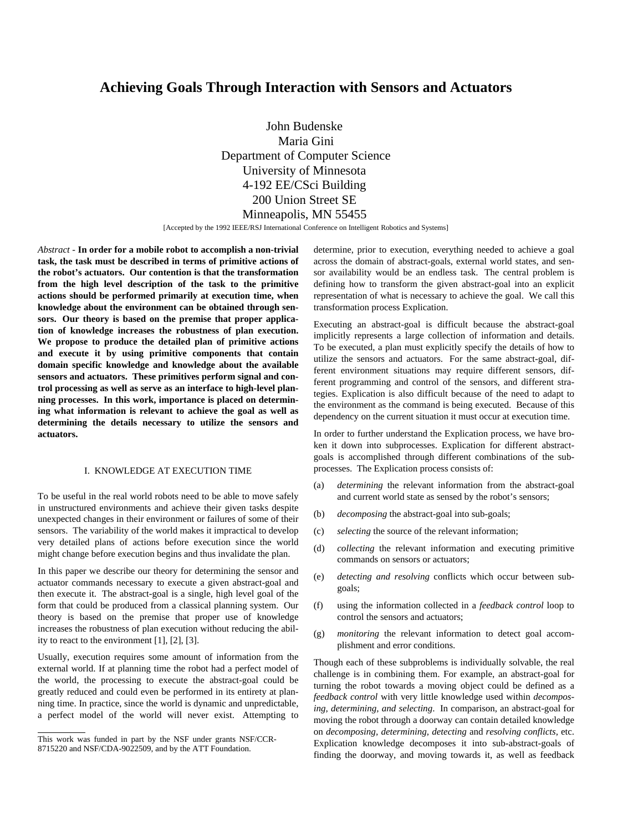# **Achieving Goals Through Interaction with Sensors and Actuators**

John Budenske Maria Gini Department of Computer Science University of Minnesota 4-192 EE/CSci Building 200 Union Street SE Minneapolis, MN 55455

[Accepted by the 1992 IEEE/RSJ International Conference on Intelligent Robotics and Systems]

*Abstract -* **In order for a mobile robot to accomplish a non-trivial task, the task must be described in terms of primitive actions of the robot's actuators. Our contention is that the transformation from the high level description of the task to the primitive actions should be performed primarily at execution time, when knowledge about the environment can be obtained through sensors. Our theory is based on the premise that proper application of knowledge increases the robustness of plan execution. We propose to produce the detailed plan of primitive actions and execute it by using primitive components that contain domain specific knowledge and knowledge about the available sensors and actuators. These primitives perform signal and control processing as well as serve as an interface to high-level planning processes. In this work, importance is placed on determining what information is relevant to achieve the goal as well as determining the details necessary to utilize the sensors and actuators.**

#### I. KNOWLEDGE AT EXECUTION TIME

To be useful in the real world robots need to be able to move safely in unstructured environments and achieve their given tasks despite unexpected changes in their environment or failures of some of their sensors. The variability of the world makes it impractical to develop very detailed plans of actions before execution since the world might change before execution begins and thus invalidate the plan.

In this paper we describe our theory for determining the sensor and actuator commands necessary to execute a given abstract-goal and then execute it. The abstract-goal is a single, high level goal of the form that could be produced from a classical planning system. Our theory is based on the premise that proper use of knowledge increases the robustness of plan execution without reducing the ability to react to the environment [1], [2], [3].

Usually, execution requires some amount of information from the external world. If at planning time the robot had a perfect model of the world, the processing to execute the abstract-goal could be greatly reduced and could even be performed in its entirety at planning time. In practice, since the world is dynamic and unpredictable, a perfect model of the world will never exist. Attempting to

determine, prior to execution, everything needed to achieve a goal across the domain of abstract-goals, external world states, and sensor availability would be an endless task. The central problem is defining how to transform the given abstract-goal into an explicit representation of what is necessary to achieve the goal. We call this transformation process Explication.

Executing an abstract-goal is difficult because the abstract-goal implicitly represents a large collection of information and details. To be executed, a plan must explicitly specify the details of how to utilize the sensors and actuators. For the same abstract-goal, different environment situations may require different sensors, different programming and control of the sensors, and different strategies. Explication is also difficult because of the need to adapt to the environment as the command is being executed. Because of this dependency on the current situation it must occur at execution time.

In order to further understand the Explication process, we have broken it down into subprocesses. Explication for different abstractgoals is accomplished through different combinations of the subprocesses. The Explication process consists of:

- (a) *determining* the relevant information from the abstract-goal and current world state as sensed by the robot's sensors;
- (b) *decomposing* the abstract-goal into sub-goals;
- (c) *selecting* the source of the relevant information;
- (d) *collecting* the relevant information and executing primitive commands on sensors or actuators;
- (e) *detecting and resolving* conflicts which occur between subgoals;
- (f) using the information collected in a *feedback control* loop to control the sensors and actuators;
- (g) *monitoring* the relevant information to detect goal accomplishment and error conditions.

Though each of these subproblems is individually solvable, the real challenge is in combining them. For example, an abstract-goal for turning the robot towards a moving object could be defined as a *feedback control* with very little knowledge used within *decomposing, determining, and selecting*. In comparison, an abstract-goal for moving the robot through a doorway can contain detailed knowledge on *decomposing, determining, detecting* and *resolving conflicts*, etc. Explication knowledge decomposes it into sub-abstract-goals of finding the doorway, and moving towards it, as well as feedback

This work was funded in part by the NSF under grants NSF/CCR-8715220 and NSF/CDA-9022509, and by the ATT Foundation.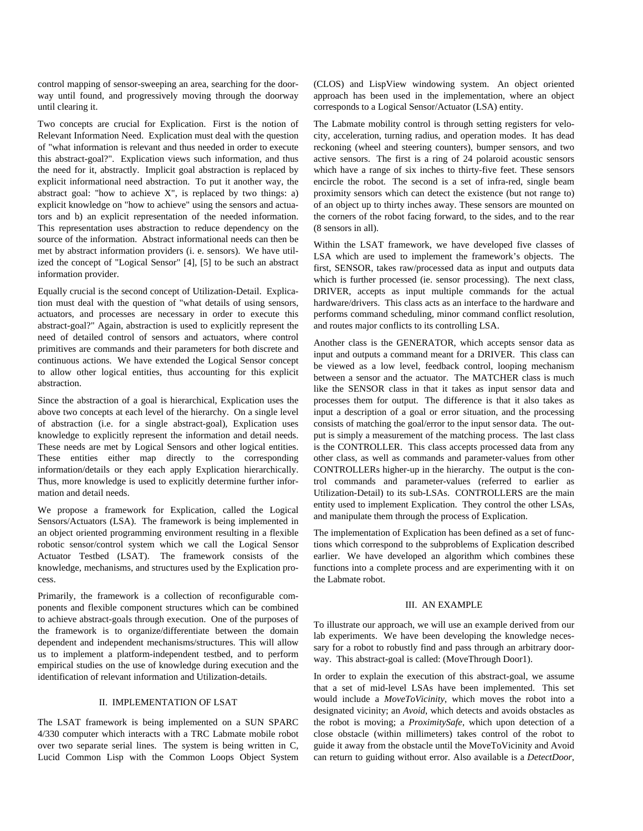control mapping of sensor-sweeping an area, searching for the doorway until found, and progressively moving through the doorway until clearing it.

Two concepts are crucial for Explication. First is the notion of Relevant Information Need. Explication must deal with the question of "what information is relevant and thus needed in order to execute this abstract-goal?". Explication views such information, and thus the need for it, abstractly. Implicit goal abstraction is replaced by explicit informational need abstraction. To put it another way, the abstract goal: "how to achieve  $X$ ", is replaced by two things: a) explicit knowledge on "how to achieve" using the sensors and actuators and b) an explicit representation of the needed information. This representation uses abstraction to reduce dependency on the source of the information. Abstract informational needs can then be met by abstract information providers (i. e. sensors). We have utilized the concept of "Logical Sensor" [4], [5] to be such an abstract information provider.

Equally crucial is the second concept of Utilization-Detail. Explication must deal with the question of "what details of using sensors, actuators, and processes are necessary in order to execute this abstract-goal?" Again, abstraction is used to explicitly represent the need of detailed control of sensors and actuators, where control primitives are commands and their parameters for both discrete and continuous actions. We have extended the Logical Sensor concept to allow other logical entities, thus accounting for this explicit abstraction.

Since the abstraction of a goal is hierarchical, Explication uses the above two concepts at each level of the hierarchy. On a single level of abstraction (i.e. for a single abstract-goal), Explication uses knowledge to explicitly represent the information and detail needs. These needs are met by Logical Sensors and other logical entities. These entities either map directly to the corresponding information/details or they each apply Explication hierarchically. Thus, more knowledge is used to explicitly determine further information and detail needs.

We propose a framework for Explication, called the Logical Sensors/Actuators (LSA). The framework is being implemented in an object oriented programming environment resulting in a flexible robotic sensor/control system which we call the Logical Sensor Actuator Testbed (LSAT). The framework consists of the knowledge, mechanisms, and structures used by the Explication process.

Primarily, the framework is a collection of reconfigurable components and flexible component structures which can be combined to achieve abstract-goals through execution. One of the purposes of the framework is to organize/differentiate between the domain dependent and independent mechanisms/structures. This will allow us to implement a platform-independent testbed, and to perform empirical studies on the use of knowledge during execution and the identification of relevant information and Utilization-details.

#### II. IMPLEMENTATION OF LSAT

The LSAT framework is being implemented on a SUN SPARC 4/330 computer which interacts with a TRC Labmate mobile robot over two separate serial lines. The system is being written in C, Lucid Common Lisp with the Common Loops Object System (CLOS) and LispView windowing system. An object oriented approach has been used in the implementation, where an object corresponds to a Logical Sensor/Actuator (LSA) entity.

The Labmate mobility control is through setting registers for velocity, acceleration, turning radius, and operation modes. It has dead reckoning (wheel and steering counters), bumper sensors, and two active sensors. The first is a ring of 24 polaroid acoustic sensors which have a range of six inches to thirty-five feet. These sensors encircle the robot. The second is a set of infra-red, single beam proximity sensors which can detect the existence (but not range to) of an object up to thirty inches away. These sensors are mounted on the corners of the robot facing forward, to the sides, and to the rear (8 sensors in all).

Within the LSAT framework, we have developed five classes of LSA which are used to implement the framework's objects. The first, SENSOR, takes raw/processed data as input and outputs data which is further processed (ie. sensor processing). The next class, DRIVER, accepts as input multiple commands for the actual hardware/drivers. This class acts as an interface to the hardware and performs command scheduling, minor command conflict resolution, and routes major conflicts to its controlling LSA.

Another class is the GENERATOR, which accepts sensor data as input and outputs a command meant for a DRIVER. This class can be viewed as a low level, feedback control, looping mechanism between a sensor and the actuator. The MATCHER class is much like the SENSOR class in that it takes as input sensor data and processes them for output. The difference is that it also takes as input a description of a goal or error situation, and the processing consists of matching the goal/error to the input sensor data. The output is simply a measurement of the matching process. The last class is the CONTROLLER. This class accepts processed data from any other class, as well as commands and parameter-values from other CONTROLLERs higher-up in the hierarchy. The output is the control commands and parameter-values (referred to earlier as Utilization-Detail) to its sub-LSAs. CONTROLLERS are the main entity used to implement Explication. They control the other LSAs, and manipulate them through the process of Explication.

The implementation of Explication has been defined as a set of functions which correspond to the subproblems of Explication described earlier. We have developed an algorithm which combines these functions into a complete process and are experimenting with it on the Labmate robot.

#### III. AN EXAMPLE

To illustrate our approach, we will use an example derived from our lab experiments. We have been developing the knowledge necessary for a robot to robustly find and pass through an arbitrary doorway. This abstract-goal is called: (MoveThrough Door1).

In order to explain the execution of this abstract-goal, we assume that a set of mid-level LSAs have been implemented. This set would include a *MoveToVicinity*, which moves the robot into a designated vicinity; an *Avoid*, which detects and avoids obstacles as the robot is moving; a *ProximitySafe*, which upon detection of a close obstacle (within millimeters) takes control of the robot to guide it away from the obstacle until the MoveToVicinity and Avoid can return to guiding without error. Also available is a *DetectDoor*,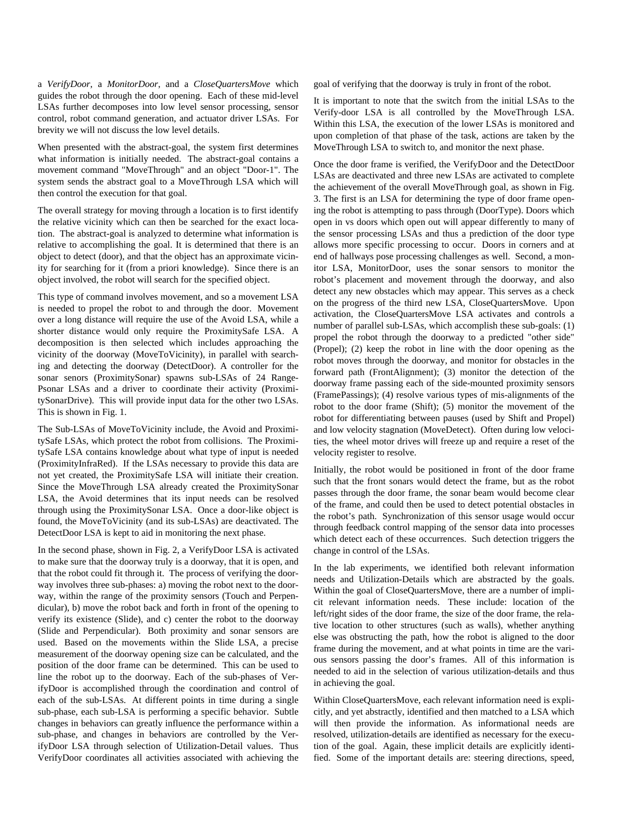a *VerifyDoor*, a *MonitorDoor*, and a *CloseQuartersMove* which guides the robot through the door opening. Each of these mid-level LSAs further decomposes into low level sensor processing, sensor control, robot command generation, and actuator driver LSAs. For brevity we will not discuss the low level details.

When presented with the abstract-goal, the system first determines what information is initially needed. The abstract-goal contains a movement command "MoveThrough" and an object "Door-1". The system sends the abstract goal to a MoveThrough LSA which will then control the execution for that goal.

The overall strategy for moving through a location is to first identify the relative vicinity which can then be searched for the exact location. The abstract-goal is analyzed to determine what information is relative to accomplishing the goal. It is determined that there is an object to detect (door), and that the object has an approximate vicinity for searching for it (from a priori knowledge). Since there is an object involved, the robot will search for the specified object.

This type of command involves movement, and so a movement LSA is needed to propel the robot to and through the door. Movement over a long distance will require the use of the Avoid LSA, while a shorter distance would only require the ProximitySafe LSA. A decomposition is then selected which includes approaching the vicinity of the doorway (MoveToVicinity), in parallel with searching and detecting the doorway (DetectDoor). A controller for the sonar senors (ProximitySonar) spawns sub-LSAs of 24 Range-Psonar LSAs and a driver to coordinate their activity (ProximitySonarDrive). This will provide input data for the other two LSAs. This is shown in Fig. 1.

The Sub-LSAs of MoveToVicinity include, the Avoid and ProximitySafe LSAs, which protect the robot from collisions. The ProximitySafe LSA contains knowledge about what type of input is needed (ProximityInfraRed). If the LSAs necessary to provide this data are not yet created, the ProximitySafe LSA will initiate their creation. Since the MoveThrough LSA already created the ProximitySonar LSA, the Avoid determines that its input needs can be resolved through using the ProximitySonar LSA. Once a door-like object is found, the MoveToVicinity (and its sub-LSAs) are deactivated. The DetectDoor LSA is kept to aid in monitoring the next phase.

In the second phase, shown in Fig. 2, a VerifyDoor LSA is activated to make sure that the doorway truly is a doorway, that it is open, and that the robot could fit through it. The process of verifying the doorway involves three sub-phases: a) moving the robot next to the doorway, within the range of the proximity sensors (Touch and Perpendicular), b) move the robot back and forth in front of the opening to verify its existence (Slide), and c) center the robot to the doorway (Slide and Perpendicular). Both proximity and sonar sensors are used. Based on the movements within the Slide LSA, a precise measurement of the doorway opening size can be calculated, and the position of the door frame can be determined. This can be used to line the robot up to the doorway. Each of the sub-phases of VerifyDoor is accomplished through the coordination and control of each of the sub-LSAs. At different points in time during a single sub-phase, each sub-LSA is performing a specific behavior. Subtle changes in behaviors can greatly influence the performance within a sub-phase, and changes in behaviors are controlled by the VerifyDoor LSA through selection of Utilization-Detail values. Thus VerifyDoor coordinates all activities associated with achieving the goal of verifying that the doorway is truly in front of the robot.

It is important to note that the switch from the initial LSAs to the Verify-door LSA is all controlled by the MoveThrough LSA. Within this LSA, the execution of the lower LSAs is monitored and upon completion of that phase of the task, actions are taken by the MoveThrough LSA to switch to, and monitor the next phase.

Once the door frame is verified, the VerifyDoor and the DetectDoor LSAs are deactivated and three new LSAs are activated to complete the achievement of the overall MoveThrough goal, as shown in Fig. 3. The first is an LSA for determining the type of door frame opening the robot is attempting to pass through (DoorType). Doors which open in vs doors which open out will appear differently to many of the sensor processing LSAs and thus a prediction of the door type allows more specific processing to occur. Doors in corners and at end of hallways pose processing challenges as well. Second, a monitor LSA, MonitorDoor, uses the sonar sensors to monitor the robot's placement and movement through the doorway, and also detect any new obstacles which may appear. This serves as a check on the progress of the third new LSA, CloseQuartersMove. Upon activation, the CloseQuartersMove LSA activates and controls a number of parallel sub-LSAs, which accomplish these sub-goals: (1) propel the robot through the doorway to a predicted "other side" (Propel); (2) keep the robot in line with the door opening as the robot moves through the doorway, and monitor for obstacles in the forward path (FrontAlignment); (3) monitor the detection of the doorway frame passing each of the side-mounted proximity sensors (FramePassings); (4) resolve various types of mis-alignments of the robot to the door frame (Shift); (5) monitor the movement of the robot for differentiating between pauses (used by Shift and Propel) and low velocity stagnation (MoveDetect). Often during low velocities, the wheel motor drives will freeze up and require a reset of the velocity register to resolve.

Initially, the robot would be positioned in front of the door frame such that the front sonars would detect the frame, but as the robot passes through the door frame, the sonar beam would become clear of the frame, and could then be used to detect potential obstacles in the robot's path. Synchronization of this sensor usage would occur through feedback control mapping of the sensor data into processes which detect each of these occurrences. Such detection triggers the change in control of the LSAs.

In the lab experiments, we identified both relevant information needs and Utilization-Details which are abstracted by the goals. Within the goal of CloseQuartersMove, there are a number of implicit relevant information needs. These include: location of the left/right sides of the door frame, the size of the door frame, the relative location to other structures (such as walls), whether anything else was obstructing the path, how the robot is aligned to the door frame during the movement, and at what points in time are the various sensors passing the door's frames. All of this information is needed to aid in the selection of various utilization-details and thus in achieving the goal.

Within CloseQuartersMove, each relevant information need is explicitly, and yet abstractly, identified and then matched to a LSA which will then provide the information. As informational needs are resolved, utilization-details are identified as necessary for the execution of the goal. Again, these implicit details are explicitly identified. Some of the important details are: steering directions, speed,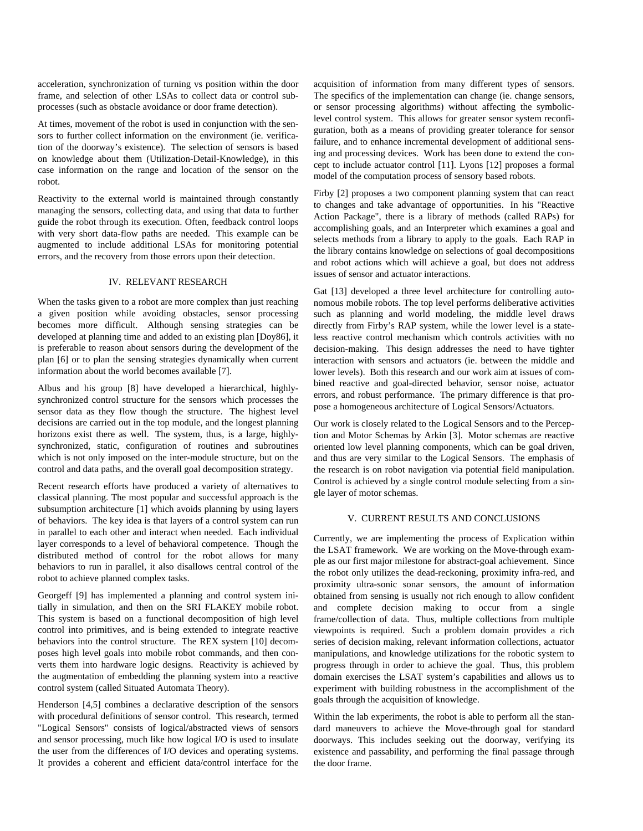acceleration, synchronization of turning vs position within the door frame, and selection of other LSAs to collect data or control subprocesses (such as obstacle avoidance or door frame detection).

At times, movement of the robot is used in conjunction with the sensors to further collect information on the environment (ie. verification of the doorway's existence). The selection of sensors is based on knowledge about them (Utilization-Detail-Knowledge), in this case information on the range and location of the sensor on the robot.

Reactivity to the external world is maintained through constantly managing the sensors, collecting data, and using that data to further guide the robot through its execution. Often, feedback control loops with very short data-flow paths are needed. This example can be augmented to include additional LSAs for monitoring potential errors, and the recovery from those errors upon their detection.

### IV. RELEVANT RESEARCH

When the tasks given to a robot are more complex than just reaching a given position while avoiding obstacles, sensor processing becomes more difficult. Although sensing strategies can be developed at planning time and added to an existing plan [Doy86], it is preferable to reason about sensors during the development of the plan [6] or to plan the sensing strategies dynamically when current information about the world becomes available [7].

Albus and his group [8] have developed a hierarchical, highlysynchronized control structure for the sensors which processes the sensor data as they flow though the structure. The highest level decisions are carried out in the top module, and the longest planning horizons exist there as well. The system, thus, is a large, highlysynchronized, static, configuration of routines and subroutines which is not only imposed on the inter-module structure, but on the control and data paths, and the overall goal decomposition strategy.

Recent research efforts have produced a variety of alternatives to classical planning. The most popular and successful approach is the subsumption architecture [1] which avoids planning by using layers of behaviors. The key idea is that layers of a control system can run in parallel to each other and interact when needed. Each individual layer corresponds to a level of behavioral competence. Though the distributed method of control for the robot allows for many behaviors to run in parallel, it also disallows central control of the robot to achieve planned complex tasks.

Georgeff [9] has implemented a planning and control system initially in simulation, and then on the SRI FLAKEY mobile robot. This system is based on a functional decomposition of high level control into primitives, and is being extended to integrate reactive behaviors into the control structure. The REX system [10] decomposes high level goals into mobile robot commands, and then converts them into hardware logic designs. Reactivity is achieved by the augmentation of embedding the planning system into a reactive control system (called Situated Automata Theory).

Henderson [4,5] combines a declarative description of the sensors with procedural definitions of sensor control. This research, termed "Logical Sensors" consists of logical/abstracted views of sensors and sensor processing, much like how logical I/O is used to insulate the user from the differences of I/O devices and operating systems. It provides a coherent and efficient data/control interface for the acquisition of information from many different types of sensors. The specifics of the implementation can change (ie. change sensors, or sensor processing algorithms) without affecting the symboliclevel control system. This allows for greater sensor system reconfiguration, both as a means of providing greater tolerance for sensor failure, and to enhance incremental development of additional sensing and processing devices. Work has been done to extend the concept to include actuator control [11]. Lyons [12] proposes a formal model of the computation process of sensory based robots.

Firby [2] proposes a two component planning system that can react to changes and take advantage of opportunities. In his "Reactive Action Package", there is a library of methods (called RAPs) for accomplishing goals, and an Interpreter which examines a goal and selects methods from a library to apply to the goals. Each RAP in the library contains knowledge on selections of goal decompositions and robot actions which will achieve a goal, but does not address issues of sensor and actuator interactions.

Gat [13] developed a three level architecture for controlling autonomous mobile robots. The top level performs deliberative activities such as planning and world modeling, the middle level draws directly from Firby's RAP system, while the lower level is a stateless reactive control mechanism which controls activities with no decision-making. This design addresses the need to have tighter interaction with sensors and actuators (ie. between the middle and lower levels). Both this research and our work aim at issues of combined reactive and goal-directed behavior, sensor noise, actuator errors, and robust performance. The primary difference is that propose a homogeneous architecture of Logical Sensors/Actuators.

Our work is closely related to the Logical Sensors and to the Perception and Motor Schemas by Arkin [3]. Motor schemas are reactive oriented low level planning components, which can be goal driven, and thus are very similar to the Logical Sensors. The emphasis of the research is on robot navigation via potential field manipulation. Control is achieved by a single control module selecting from a single layer of motor schemas.

## V. CURRENT RESULTS AND CONCLUSIONS

Currently, we are implementing the process of Explication within the LSAT framework. We are working on the Move-through example as our first major milestone for abstract-goal achievement. Since the robot only utilizes the dead-reckoning, proximity infra-red, and proximity ultra-sonic sonar sensors, the amount of information obtained from sensing is usually not rich enough to allow confident and complete decision making to occur from a single frame/collection of data. Thus, multiple collections from multiple viewpoints is required. Such a problem domain provides a rich series of decision making, relevant information collections, actuator manipulations, and knowledge utilizations for the robotic system to progress through in order to achieve the goal. Thus, this problem domain exercises the LSAT system's capabilities and allows us to experiment with building robustness in the accomplishment of the goals through the acquisition of knowledge.

Within the lab experiments, the robot is able to perform all the standard maneuvers to achieve the Move-through goal for standard doorways. This includes seeking out the doorway, verifying its existence and passability, and performing the final passage through the door frame.